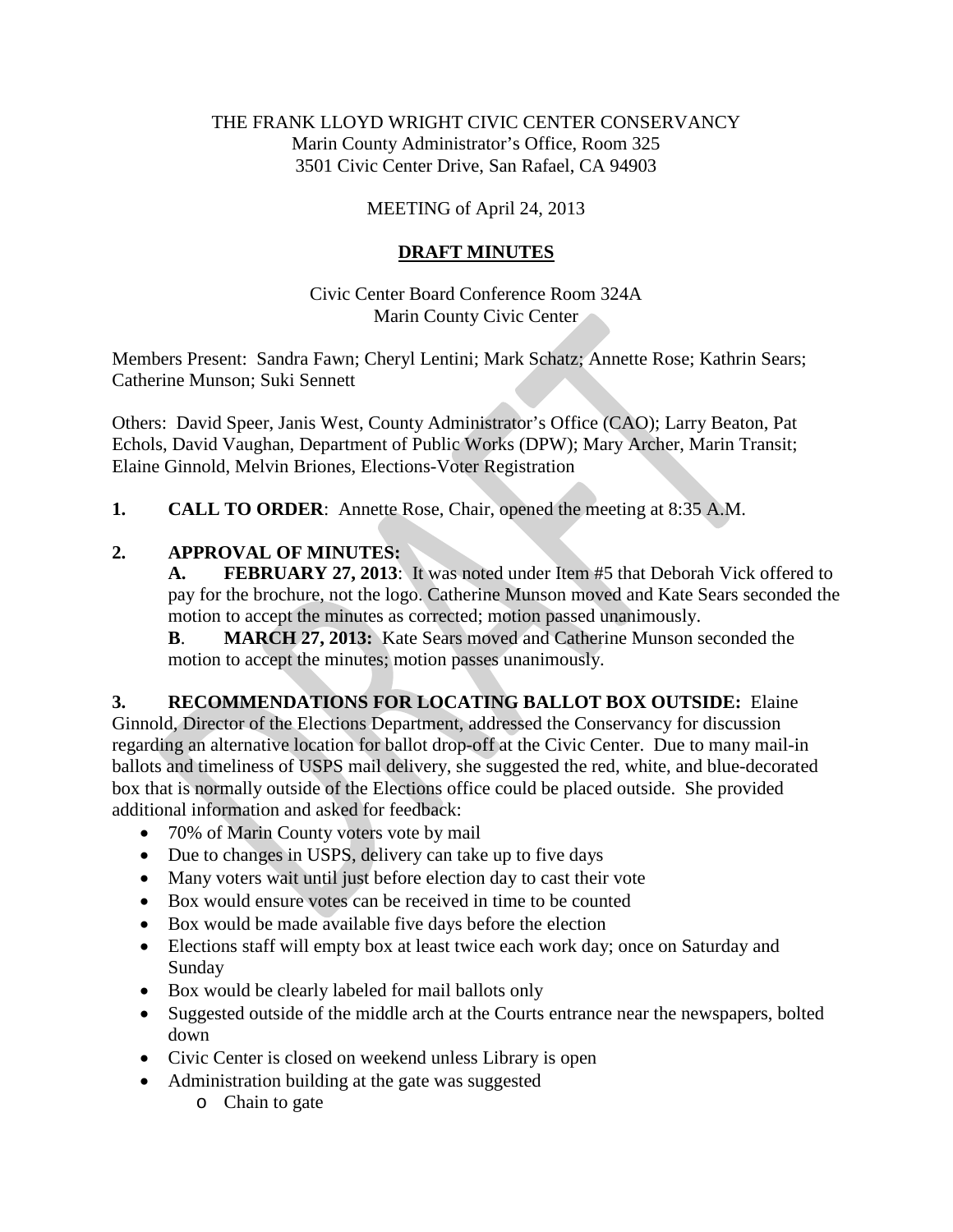#### THE FRANK LLOYD WRIGHT CIVIC CENTER CONSERVANCY Marin County Administrator's Office, Room 325 3501 Civic Center Drive, San Rafael, CA 94903

### MEETING of April 24, 2013

### **DRAFT MINUTES**

Civic Center Board Conference Room 324A Marin County Civic Center

Members Present: Sandra Fawn; Cheryl Lentini; Mark Schatz; Annette Rose; Kathrin Sears; Catherine Munson; Suki Sennett

Others: David Speer, Janis West, County Administrator's Office (CAO); Larry Beaton, Pat Echols, David Vaughan, Department of Public Works (DPW); Mary Archer, Marin Transit; Elaine Ginnold, Melvin Briones, Elections-Voter Registration

**1. CALL TO ORDER**: Annette Rose, Chair, opened the meeting at 8:35 A.M.

## **2. APPROVAL OF MINUTES:**

**A. FEBRUARY 27, 2013**: It was noted under Item #5 that Deborah Vick offered to pay for the brochure, not the logo. Catherine Munson moved and Kate Sears seconded the motion to accept the minutes as corrected; motion passed unanimously.

**B**. **MARCH 27, 2013:** Kate Sears moved and Catherine Munson seconded the motion to accept the minutes; motion passes unanimously.

#### **3. RECOMMENDATIONS FOR LOCATING BALLOT BOX OUTSIDE:** Elaine

Ginnold, Director of the Elections Department, addressed the Conservancy for discussion regarding an alternative location for ballot drop-off at the Civic Center. Due to many mail-in ballots and timeliness of USPS mail delivery, she suggested the red, white, and blue-decorated box that is normally outside of the Elections office could be placed outside. She provided additional information and asked for feedback:

- 70% of Marin County voters vote by mail
- Due to changes in USPS, delivery can take up to five days
- Many voters wait until just before election day to cast their vote
- Box would ensure votes can be received in time to be counted
- Box would be made available five days before the election
- Elections staff will empty box at least twice each work day; once on Saturday and Sunday
- Box would be clearly labeled for mail ballots only
- Suggested outside of the middle arch at the Courts entrance near the newspapers, bolted down
- Civic Center is closed on weekend unless Library is open
- Administration building at the gate was suggested
	- o Chain to gate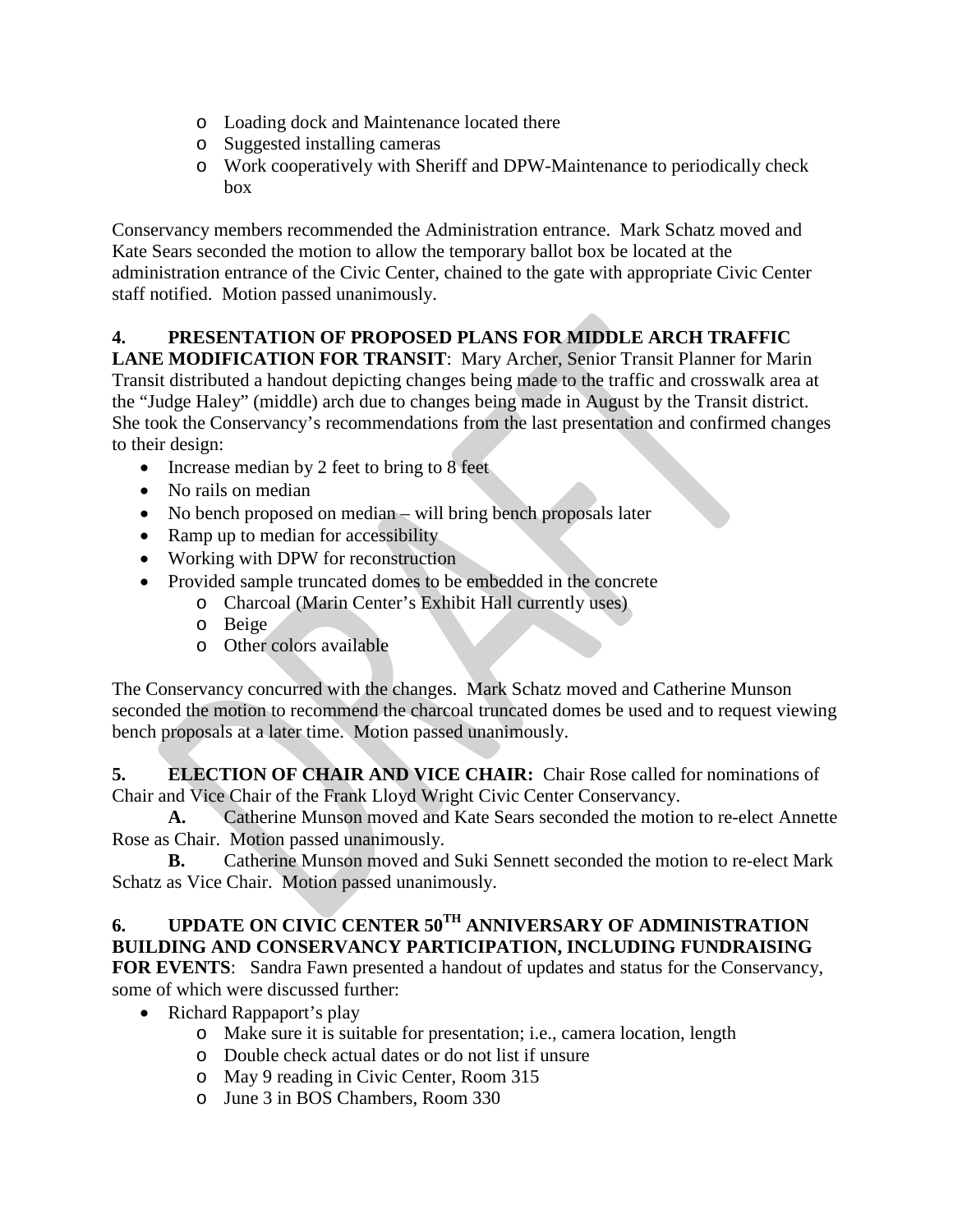- o Loading dock and Maintenance located there
- o Suggested installing cameras
- o Work cooperatively with Sheriff and DPW-Maintenance to periodically check box

Conservancy members recommended the Administration entrance. Mark Schatz moved and Kate Sears seconded the motion to allow the temporary ballot box be located at the administration entrance of the Civic Center, chained to the gate with appropriate Civic Center staff notified. Motion passed unanimously.

# **4. PRESENTATION OF PROPOSED PLANS FOR MIDDLE ARCH TRAFFIC**

**LANE MODIFICATION FOR TRANSIT**: Mary Archer, Senior Transit Planner for Marin Transit distributed a handout depicting changes being made to the traffic and crosswalk area at the "Judge Haley" (middle) arch due to changes being made in August by the Transit district. She took the Conservancy's recommendations from the last presentation and confirmed changes to their design:

- Increase median by 2 feet to bring to 8 feet
- No rails on median
- No bench proposed on median will bring bench proposals later
- Ramp up to median for accessibility
- Working with DPW for reconstruction
- Provided sample truncated domes to be embedded in the concrete
	- o Charcoal (Marin Center's Exhibit Hall currently uses)
	- o Beige
	- o Other colors available

The Conservancy concurred with the changes. Mark Schatz moved and Catherine Munson seconded the motion to recommend the charcoal truncated domes be used and to request viewing bench proposals at a later time. Motion passed unanimously.

**5. ELECTION OF CHAIR AND VICE CHAIR:** Chair Rose called for nominations of Chair and Vice Chair of the Frank Lloyd Wright Civic Center Conservancy.

**A.** Catherine Munson moved and Kate Sears seconded the motion to re-elect Annette Rose as Chair. Motion passed unanimously.

**B.** Catherine Munson moved and Suki Sennett seconded the motion to re-elect Mark Schatz as Vice Chair. Motion passed unanimously.

#### **6. UPDATE ON CIVIC CENTER 50TH ANNIVERSARY OF ADMINISTRATION BUILDING AND CONSERVANCY PARTICIPATION, INCLUDING FUNDRAISING**

**FOR EVENTS**: Sandra Fawn presented a handout of updates and status for the Conservancy, some of which were discussed further:

- Richard Rappaport's play
	- o Make sure it is suitable for presentation; i.e., camera location, length
	- o Double check actual dates or do not list if unsure
	- o May 9 reading in Civic Center, Room 315
	- o June 3 in BOS Chambers, Room 330